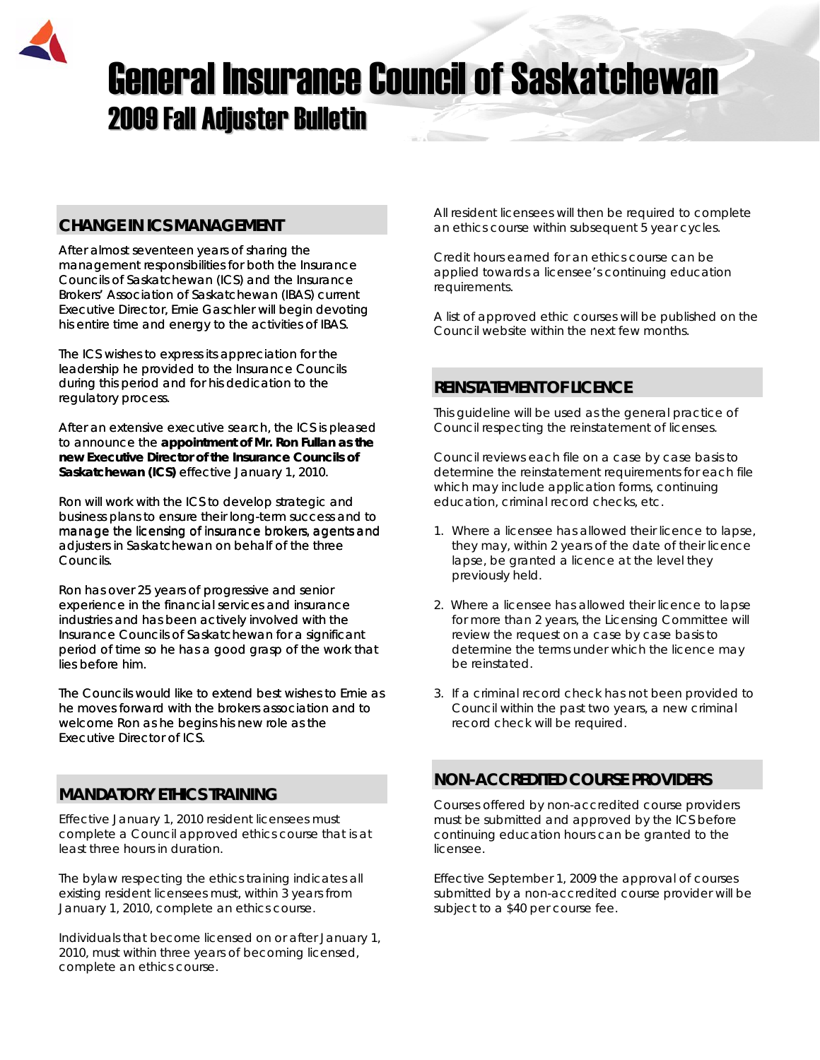

# **General Insurance Council of Saskatchewan 2009 Fall Adjuster Bulletin**

# **CHANGE IN ICS MANAGEMENT**

After almost seventeen years of sharing the management responsibilities for both the Insurance Councils of Saskatchewan (ICS) and the Insurance Brokers' Association of Saskatchewan (IBAS) current Executive Director, Ernie Gaschler will begin devoting his entire time and energy to the activities of IBAS.

The ICS wishes to express its appreciation for the leadership he provided to the Insurance Councils during this period and for his dedication to the regulatory process.

After an extensive executive search, the ICS is pleased to announce the **appointment of Mr. Ron Fullan as the new Executive Director of the Insurance Councils of Saskatchewan (ICS)** effective January 1, 2010.

Ron will work with the ICS to develop strategic and business plans to ensure their long-term success and to manage the licensing of insurance brokers, agents and adjusters in Saskatchewan on behalf of the three Councils.

Ron has over 25 years of progressive and senior experience in the financial services and insurance industries and has been actively involved with the Insurance Councils of Saskatchewan for a significant period of time so he has a good grasp of the work that lies before him.

The Councils would like to extend best wishes to Ernie as he moves forward with the brokers association and to welcome Ron as he begins his new role as the Executive Director of ICS.

# **MANDATORY ETHICS TRAINING**

Effective January 1, 2010 resident licensees must complete a Council approved ethics course that is at least three hours in duration.

The bylaw respecting the ethics training indicates all *existing resident licensees* must, within 3 years from January 1, 2010, complete an ethics course.

Individuals that *become licensed on or after January 1, 2010,* must within three years of becoming licensed, complete an ethics course.

All resident licensees will then be required to complete an ethics course within subsequent 5 year cycles.

Credit hours earned for an ethics course can be applied towards a licensee's continuing education requirements.

A list of approved ethic courses will be published on the Council website within the next few months.

# **REINSTATEMENT OF LICENCE**

This guideline will be used as the general practice of Council respecting the reinstatement of licenses.

Council reviews each file on a case by case basis to determine the reinstatement requirements for each file which may include application forms, continuing education, criminal record checks, etc.

- 1. Where a licensee has allowed their licence to lapse, they may, within 2 years of the date of their licence lapse, be granted a licence at the level they previously held.
- 2. Where a licensee has allowed their licence to lapse for more than 2 years, the Licensing Committee will review the request on a case by case basis to determine the terms under which the licence may be reinstated.
- 3. If a criminal record check has not been provided to Council within the past two years, a new criminal record check will be required.

# **NON-ACCREDITED COURSE PROVIDERS**

Courses offered by non-accredited course providers must be submitted and approved by the ICS before continuing education hours can be granted to the licensee.

Effective September 1, 2009 the approval of courses submitted by a non-accredited course provider will be subject to a \$40 per course fee.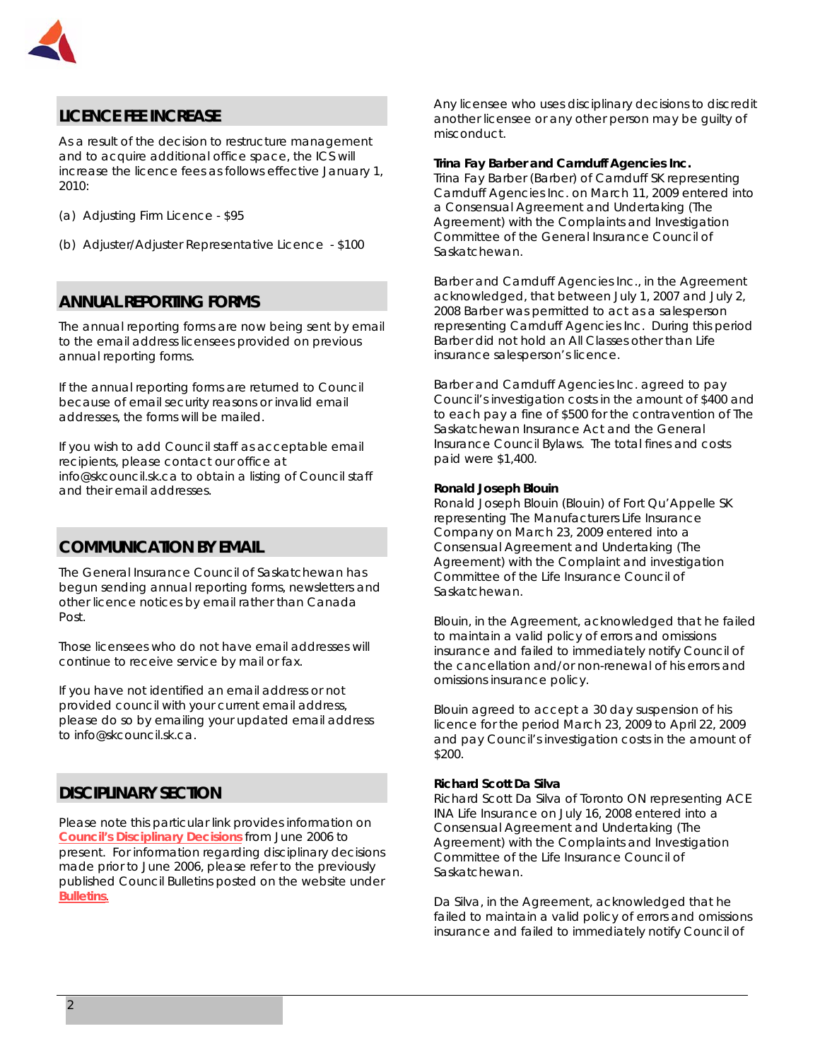

# **LICENCE FEE INCREASE**

As a result of the decision to restructure management and to acquire additional office space, the ICS will increase the licence fees as follows effective January 1, 2010:

- (a) Adjusting Firm Licence \$95
- (b) Adjuster/Adjuster Representative Licence \$100

# **ANNUAL REPORTING FORMS**

The annual reporting forms are now being sent by email to the email address licensees provided on previous annual reporting forms.

If the annual reporting forms are returned to Council because of email security reasons or invalid email addresses, the forms will be mailed.

If you wish to add Council staff as acceptable email recipients, please contact our office at [info@skcouncil.sk.ca](mailto:info@skcouncil.sk.ca) to obtain a listing of Council staff and their email addresses.

# **COMMUNICATION BY EMAIL**

The General Insurance Council of Saskatchewan has begun sending annual reporting forms, newsletters and other licence notices by email rather than Canada Post.

Those licensees who do not have email addresses will continue to receive service by mail or fax.

If you have not identified an email address or not provided council with your current email address, please do so by emailing your updated email address to info@skcouncil.sk.ca.

## **DISCIPLINARY SECTION**

Please note this particular link provides information on *[Council's Disciplinary Decisions](http://www.skcouncil.sk.ca/Disciplinary%20Decisions.htm)* from June 2006 to present. For information regarding disciplinary decisions made prior to June 2006, please refer to the previously published Council Bulletins posted on the website under *[Bulletins](http://www.skcouncil.sk.ca/bulletin.htm).*

Any licensee who uses disciplinary decisions to discredit another licensee or any other person may be guilty of misconduct.

## **Trina Fay Barber and Carnduff Agencies Inc.**

Trina Fay Barber (Barber) of Carnduff SK representing Carnduff Agencies Inc. on March 11, 2009 entered into a Consensual Agreement and Undertaking (The Agreement) with the Complaints and Investigation Committee of the General Insurance Council of Saskatchewan.

Barber and Carnduff Agencies Inc., in the Agreement acknowledged, that between July 1, 2007 and July 2, 2008 Barber was permitted to act as a salesperson representing Carnduff Agencies Inc. During this period Barber did not hold an All Classes other than Life insurance salesperson's licence.

Barber and Carnduff Agencies Inc. agreed to pay Council's investigation costs in the amount of \$400 and to each pay a fine of \$500 for the contravention of *The Saskatchewan Insurance Act* and the General Insurance Council Bylaws. The total fines and costs paid were \$1,400.

#### **Ronald Joseph Blouin**

Ronald Joseph Blouin (Blouin) of Fort Qu'Appelle SK representing The Manufacturers Life Insurance Company on March 23, 2009 entered into a Consensual Agreement and Undertaking (The Agreement) with the Complaint and investigation Committee of the Life Insurance Council of Saskatchewan.

Blouin, in the Agreement, acknowledged that he failed to maintain a valid policy of errors and omissions insurance and failed to immediately notify Council of the cancellation and/or non-renewal of his errors and omissions insurance policy.

Blouin agreed to accept a 30 day suspension of his licence for the period March 23, 2009 to April 22, 2009 and pay Council's investigation costs in the amount of \$200.

#### **Richard Scott Da Silva**

Richard Scott Da Silva of Toronto ON representing ACE INA Life Insurance on July 16, 2008 entered into a Consensual Agreement and Undertaking (The Agreement) with the Complaints and Investigation Committee of the Life Insurance Council of Saskatchewan.

Da Silva, in the Agreement, acknowledged that he failed to maintain a valid policy of errors and omissions insurance and failed to immediately notify Council of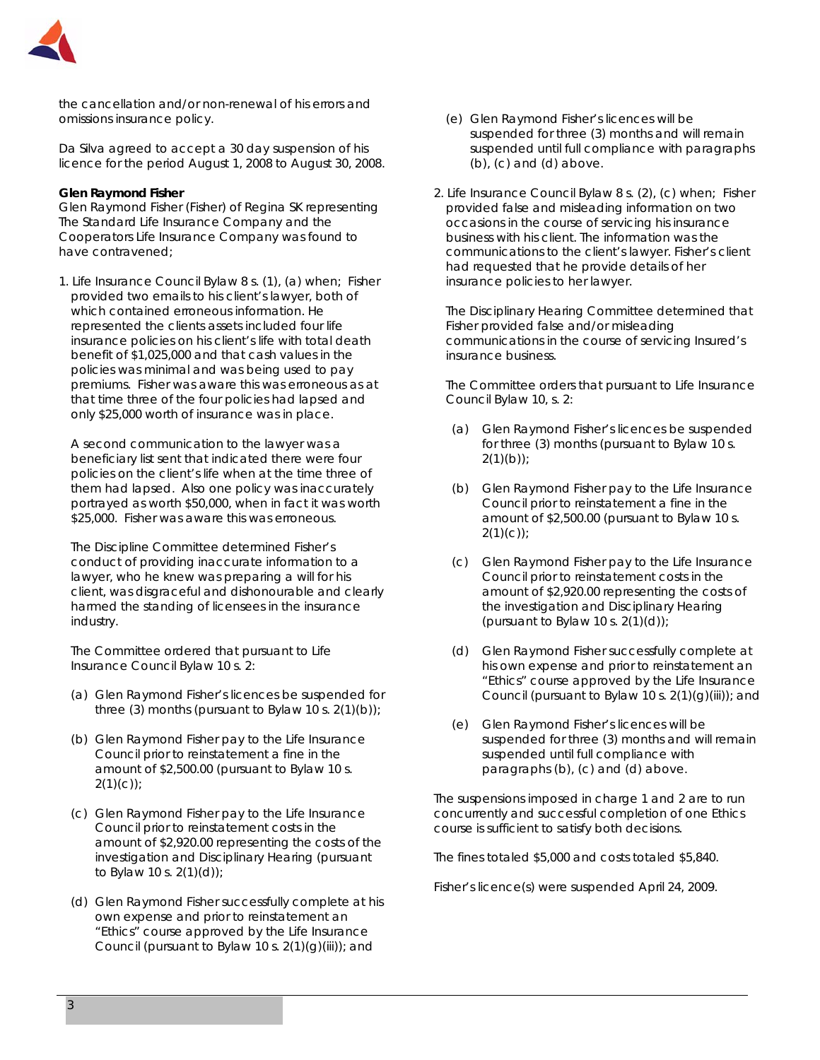

the cancellation and/or non-renewal of his errors and omissions insurance policy.

Da Silva agreed to accept a 30 day suspension of his licence for the period August 1, 2008 to August 30, 2008.

## **Glen Raymond Fisher**

Glen Raymond Fisher (Fisher) of Regina SK representing The Standard Life Insurance Company and the Cooperators Life Insurance Company was found to have contravened;

1. Life Insurance Council Bylaw 8 s. (1), (a) when; Fisher provided two emails to his client's lawyer, both of which contained erroneous information. He represented the clients assets included four life insurance policies on his client's life with total death benefit of \$1,025,000 and that cash values in the policies was minimal and was being used to pay premiums. Fisher was aware this was erroneous as at that time three of the four policies had lapsed and only \$25,000 worth of insurance was in place.

 A second communication to the lawyer was a beneficiary list sent that indicated there were four policies on the client's life when at the time three of them had lapsed. Also one policy was inaccurately portrayed as worth \$50,000, when in fact it was worth \$25,000. Fisher was aware this was erroneous.

 The Discipline Committee determined Fisher's conduct of providing inaccurate information to a lawyer, who he knew was preparing a will for his client, was disgraceful and dishonourable and clearly harmed the standing of licensees in the insurance industry.

 The Committee ordered that pursuant to Life Insurance Council Bylaw 10 s. 2:

- (a) Glen Raymond Fisher's licences be suspended for three (3) months (pursuant to Bylaw 10 s.  $2(1)(b)$ );
- (b) Glen Raymond Fisher pay to the Life Insurance Council prior to reinstatement a fine in the amount of \$2,500.00 (pursuant to Bylaw 10 s.  $2(1)(c)$ ;
- (c) Glen Raymond Fisher pay to the Life Insurance Council prior to reinstatement costs in the amount of \$2,920.00 representing the costs of the investigation and Disciplinary Hearing (pursuant to Bylaw 10 s. 2(1)(d));
- (d) Glen Raymond Fisher successfully complete at his own expense and prior to reinstatement an "Ethics" course approved by the Life Insurance Council (pursuant to Bylaw 10 s.  $2(1)(g)(iii)$ ; and
- (e) Glen Raymond Fisher's licences will be suspended for three (3) months and will remain suspended until full compliance with paragraphs (b), (c) and (d) above.
- 2. Life Insurance Council Bylaw 8 s. (2), (c) when; Fisher provided false and misleading information on two occasions in the course of servicing his insurance business with his client. The information was the communications to the client's lawyer. Fisher's client had requested that he provide details of her insurance policies to her lawyer.

 The Disciplinary Hearing Committee determined that Fisher provided false and/or misleading communications in the course of servicing Insured's insurance business.

 The Committee orders that pursuant to Life Insurance Council Bylaw 10, s. 2:

- (a) Glen Raymond Fisher's licences be suspended for three (3) months (pursuant to Bylaw 10 s.  $2(1)(b)$ ;
- (b) Glen Raymond Fisher pay to the Life Insurance Council prior to reinstatement a fine in the amount of \$2,500.00 (pursuant to Bylaw 10 s.  $2(1)(c)$ ;
- (c) Glen Raymond Fisher pay to the Life Insurance Council prior to reinstatement costs in the amount of \$2,920.00 representing the costs of the investigation and Disciplinary Hearing (pursuant to Bylaw 10 s.  $2(1)(d)$ );
- (d) Glen Raymond Fisher successfully complete at his own expense and prior to reinstatement an "Ethics" course approved by the Life Insurance Council (pursuant to Bylaw 10 s.  $2(1)(q)(iii)$ ; and
- (e) Glen Raymond Fisher's licences will be suspended for three (3) months and will remain suspended until full compliance with paragraphs (b), (c) and (d) above.

The suspensions imposed in charge 1 and 2 are to run concurrently and successful completion of one Ethics course is sufficient to satisfy both decisions.

The fines totaled \$5,000 and costs totaled \$5,840.

Fisher's licence(s) were suspended April 24, 2009.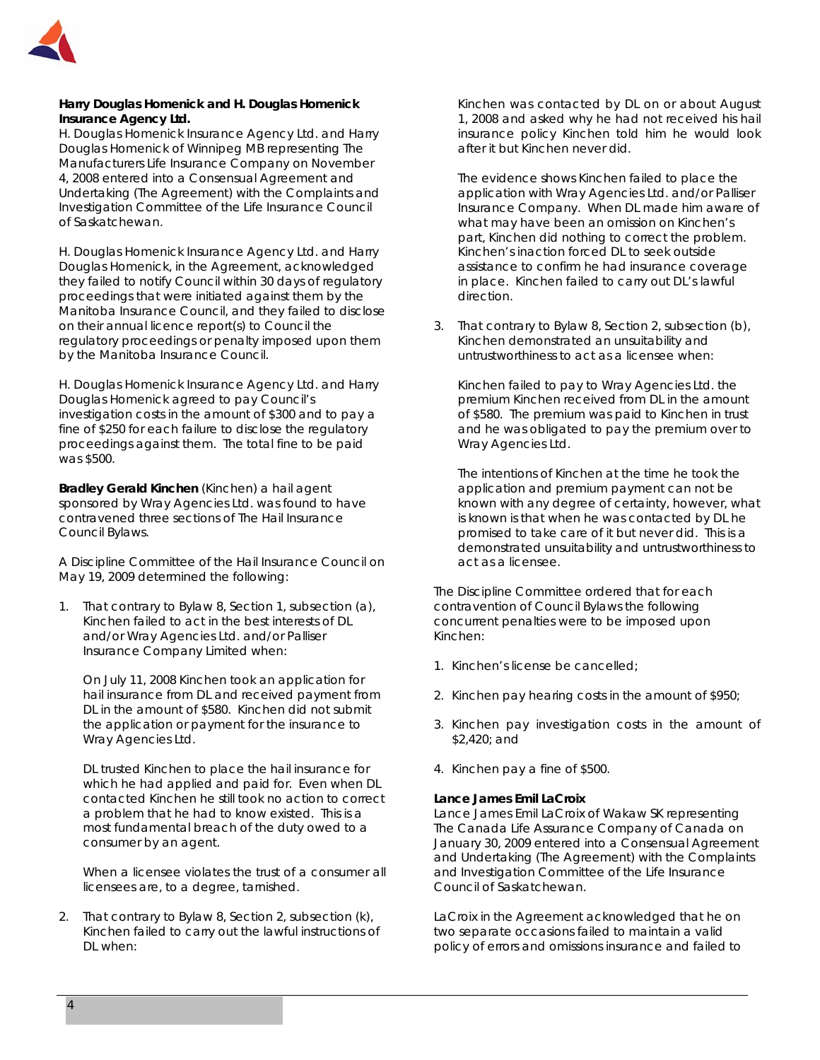

## **Harry Douglas Homenick and H. Douglas Homenick Insurance Agency Ltd.**

H. Douglas Homenick Insurance Agency Ltd. and Harry Douglas Homenick of Winnipeg MB representing The Manufacturers Life Insurance Company on November 4, 2008 entered into a Consensual Agreement and Undertaking (The Agreement) with the Complaints and Investigation Committee of the Life Insurance Council of Saskatchewan.

H. Douglas Homenick Insurance Agency Ltd. and Harry Douglas Homenick, in the Agreement, acknowledged they failed to notify Council within 30 days of regulatory proceedings that were initiated against them by the Manitoba Insurance Council, and they failed to disclose on their annual licence report(s) to Council the regulatory proceedings or penalty imposed upon them by the Manitoba Insurance Council.

H. Douglas Homenick Insurance Agency Ltd. and Harry Douglas Homenick agreed to pay Council's investigation costs in the amount of \$300 and to pay a fine of \$250 for each failure to disclose the regulatory proceedings against them. The total fine to be paid was \$500.

**Bradley Gerald Kinchen** (Kinchen) a hail agent sponsored by Wray Agencies Ltd. was found to have contravened three sections of The Hail Insurance Council Bylaws.

A Discipline Committee of the Hail Insurance Council on May 19, 2009 determined the following:

1. That contrary to Bylaw 8, Section 1, subsection (a), Kinchen failed to act in the best interests of DL and/or Wray Agencies Ltd. and/or Palliser Insurance Company Limited when:

On July 11, 2008 Kinchen took an application for hail insurance from DL and received payment from DL in the amount of \$580. Kinchen did not submit the application or payment for the insurance to Wray Agencies Ltd.

DL trusted Kinchen to place the hail insurance for which he had applied and paid for. Even when DL contacted Kinchen he still took no action to correct a problem that he had to know existed. This is a most fundamental breach of the duty owed to a consumer by an agent.

When a licensee violates the trust of a consumer all licensees are, to a degree, tarnished.

2. That contrary to Bylaw 8, Section 2, subsection (k), Kinchen failed to carry out the lawful instructions of DL when:

Kinchen was contacted by DL on or about August 1, 2008 and asked why he had not received his hail insurance policy Kinchen told him he would look after it but Kinchen never did.

The evidence shows Kinchen failed to place the application with Wray Agencies Ltd. and/or Palliser Insurance Company. When DL made him aware of what may have been an omission on Kinchen's part, Kinchen did nothing to correct the problem. Kinchen's inaction forced DL to seek outside assistance to confirm he had insurance coverage in place. Kinchen failed to carry out DL's lawful direction.

3. That contrary to Bylaw 8, Section 2, subsection (b), Kinchen demonstrated an unsuitability and untrustworthiness to act as a licensee when:

Kinchen failed to pay to Wray Agencies Ltd. the premium Kinchen received from DL in the amount of \$580. The premium was paid to Kinchen in trust and he was obligated to pay the premium over to Wray Agencies Ltd.

The intentions of Kinchen at the time he took the application and premium payment can not be known with any degree of certainty, however, what is known is that when he was contacted by DL he promised to take care of it but never did. This is a demonstrated unsuitability and untrustworthiness to act as a licensee.

The Discipline Committee ordered that for each contravention of Council Bylaws the following concurrent penalties were to be imposed upon Kinchen:

- 1. Kinchen's license be cancelled;
- 2. Kinchen pay hearing costs in the amount of \$950;
- 3. Kinchen pay investigation costs in the amount of \$2,420; and
- 4. Kinchen pay a fine of \$500.

## **Lance James Emil LaCroix**

Lance James Emil LaCroix of Wakaw SK representing The Canada Life Assurance Company of Canada on January 30, 2009 entered into a Consensual Agreement and Undertaking (The Agreement) with the Complaints and Investigation Committee of the Life Insurance Council of Saskatchewan.

LaCroix in the Agreement acknowledged that he on two separate occasions failed to maintain a valid policy of errors and omissions insurance and failed to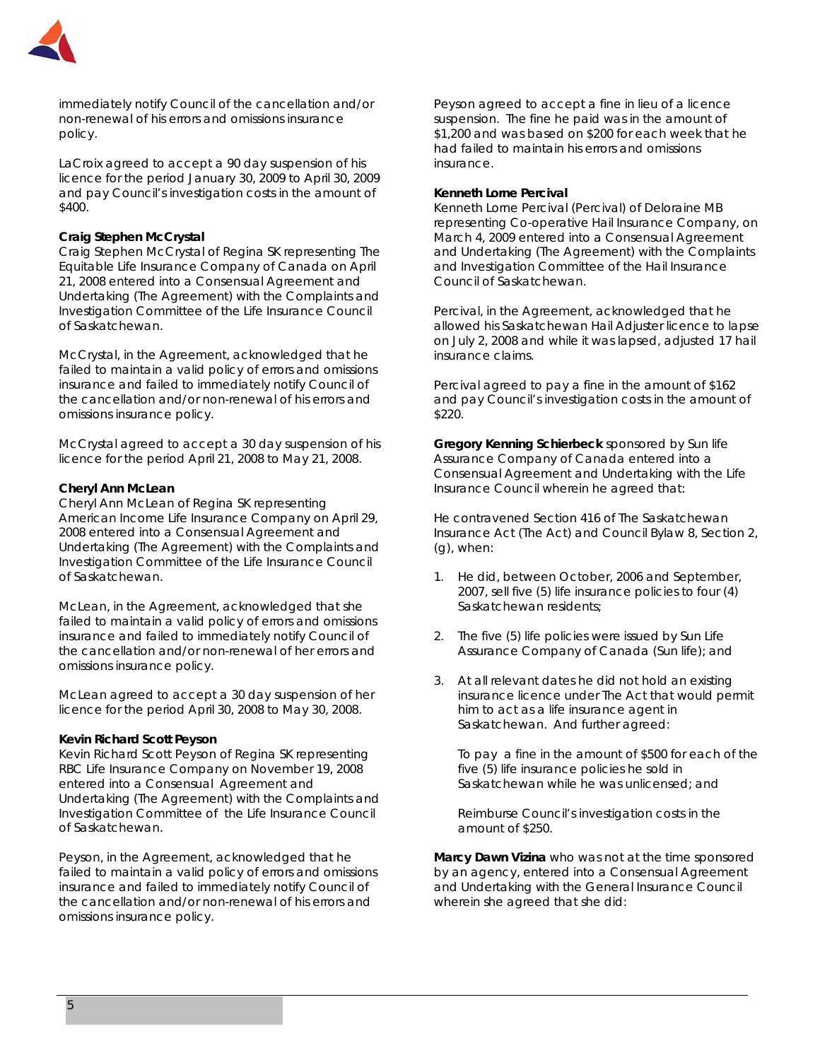

immediately notify Council of the cancellation and/or non-renewal of his errors and omissions insurance policy.

LaCroix agreed to accept a 90 day suspension of his licence for the period January 30, 2009 to April 30, 2009 and pay Council's investigation costs in the amount of \$400.

## **Craig Stephen McCrystal**

Craig Stephen McCrystal of Regina SK representing The Equitable Life Insurance Company of Canada on April 21, 2008 entered into a Consensual Agreement and Undertaking (The Agreement) with the Complaints and Investigation Committee of the Life Insurance Council of Saskatchewan.

McCrystal, in the Agreement, acknowledged that he failed to maintain a valid policy of errors and omissions insurance and failed to immediately notify Council of the cancellation and/or non-renewal of his errors and omissions insurance policy.

McCrystal agreed to accept a 30 day suspension of his licence for the period April 21, 2008 to May 21, 2008.

#### **Cheryl Ann McLean**

Cheryl Ann McLean of Regina SK representing American Income Life Insurance Company on April 29, 2008 entered into a Consensual Agreement and Undertaking (The Agreement) with the Complaints and Investigation Committee of the Life Insurance Council of Saskatchewan.

McLean, in the Agreement, acknowledged that she failed to maintain a valid policy of errors and omissions insurance and failed to immediately notify Council of the cancellation and/or non-renewal of her errors and omissions insurance policy.

McLean agreed to accept a 30 day suspension of her licence for the period April 30, 2008 to May 30, 2008.

#### **Kevin Richard Scott Peyson**

Kevin Richard Scott Peyson of Regina SK representing RBC Life Insurance Company on November 19, 2008 entered into a Consensual Agreement and Undertaking (The Agreement) with the Complaints and Investigation Committee of the Life Insurance Council of Saskatchewan.

Peyson, in the Agreement, acknowledged that he failed to maintain a valid policy of errors and omissions insurance and failed to immediately notify Council of the cancellation and/or non-renewal of his errors and omissions insurance policy.

Peyson agreed to accept a fine in lieu of a licence suspension. The fine he paid was in the amount of \$1,200 and was based on \$200 for each week that he had failed to maintain his errors and omissions insurance.

#### **Kenneth Lorne Percival**

Kenneth Lorne Percival (Percival) of Deloraine MB representing Co-operative Hail Insurance Company, on March 4, 2009 entered into a Consensual Agreement and Undertaking (The Agreement) with the Complaints and Investigation Committee of the Hail Insurance Council of Saskatchewan.

Percival, in the Agreement, acknowledged that he allowed his Saskatchewan Hail Adjuster licence to lapse on July 2, 2008 and while it was lapsed, adjusted 17 hail insurance claims.

Percival agreed to pay a fine in the amount of \$162 and pay Council's investigation costs in the amount of \$220.

**Gregory Kenning Schierbeck** sponsored by Sun life Assurance Company of Canada entered into a Consensual Agreement and Undertaking with the Life Insurance Council wherein he agreed that:

He contravened Section 416 of *The Saskatchewan Insurance Act* (The Act) and Council Bylaw 8, Section 2, (g), when:

- 1. He did, between October, 2006 and September, 2007, sell five (5) life insurance policies to four (4) Saskatchewan residents;
- 2. The five (5) life policies were issued by Sun Life Assurance Company of Canada (Sun life); and
- 3. At all relevant dates he did not hold an existing insurance licence under The Act that would permit him to act as a life insurance agent in Saskatchewan. And further agreed:

To pay a fine in the amount of \$500 for each of the five (5) life insurance policies he sold in Saskatchewan while he was unlicensed; and

Reimburse Council's investigation costs in the amount of \$250.

**Marcy Dawn Vizina** who was not at the time sponsored by an agency, entered into a Consensual Agreement and Undertaking with the General Insurance Council wherein she agreed that she did: